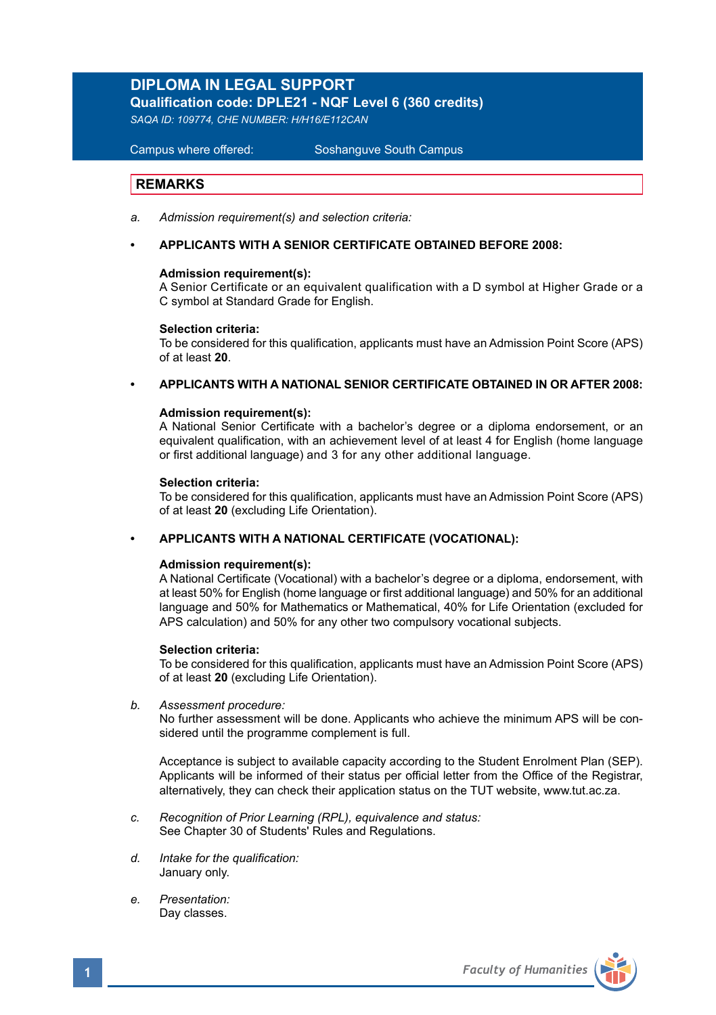# **DIPLOMA IN LEGAL SUPPORT**

**Qualification code: DPLE21 - NQF Level 6 (360 credits)** 

*SAQA ID: 109774, CHE NUMBER: H/H16/E112CAN*

**Campus where offered:** 

Soshanguve South Campus

# **REMARKS**

- *a. Admission requirement(s) and selection criteria:*
- **APPLICANTS WITH A SENIOR CERTIFICATE OBTAINED BEFORE 2008:**

#### **Admission requirement(s):**

A Senior Certificate or an equivalent qualification with a D symbol at Higher Grade or a C symbol at Standard Grade for English.

#### **Selection criteria:**

To be considered for this qualification, applicants must have an Admission Point Score (APS) of at least **20**.

# **• APPLICANTS WITH A NATIONAL SENIOR CERTIFICATE OBTAINED IN OR AFTER 2008:**

#### **Admission requirement(s):**

A National Senior Certificate with a bachelor's degree or a diploma endorsement, or an equivalent qualification, with an achievement level of at least 4 for English (home language or first additional language) and 3 for any other additional language.

#### **Selection criteria:**

To be considered for this qualification, applicants must have an Admission Point Score (APS) of at least **20** (excluding Life Orientation).

#### **• APPLICANTS WITH A NATIONAL CERTIFICATE (VOCATIONAL):**

#### **Admission requirement(s):**

A National Certificate (Vocational) with a bachelor's degree or a diploma, endorsement, with at least 50% for English (home language or first additional language) and 50% for an additional language and 50% for Mathematics or Mathematical, 40% for Life Orientation (excluded for APS calculation) and 50% for any other two compulsory vocational subjects.

#### **Selection criteria:**

To be considered for this qualification, applicants must have an Admission Point Score (APS) of at least **20** (excluding Life Orientation).

### *b. Assessment procedure:*

No further assessment will be done. Applicants who achieve the minimum APS will be considered until the programme complement is full.

Acceptance is subject to available capacity according to the Student Enrolment Plan (SEP). Applicants will be informed of their status per official letter from the Office of the Registrar, alternatively, they can check their application status on the TUT website, www.tut.ac.za.

- *c. Recognition of Prior Learning (RPL), equivalence and status:* See Chapter 30 of Students' Rules and Regulations.
- *d. Intake for the qualification:* January only.
- *e. Presentation:* Day classes.

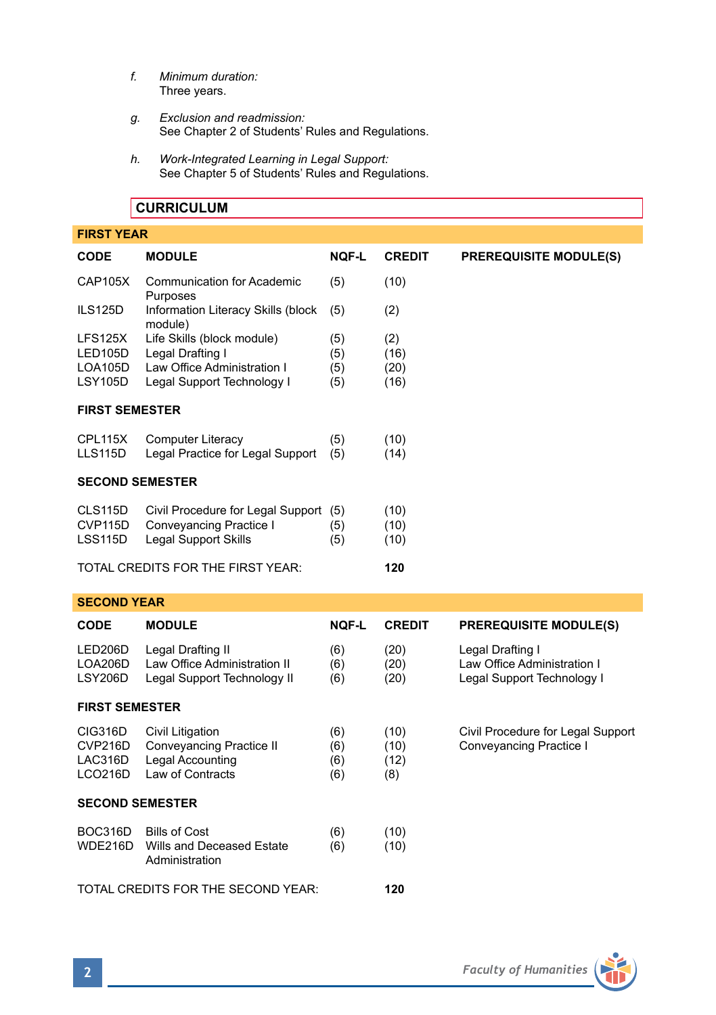- *f. Minimum duration:* Three years.
- *g. Exclusion and readmission:* See Chapter 2 of Students' Rules and Regulations.
- *h. Work-Integrated Learning in Legal Support:*  See Chapter 5 of Students' Rules and Regulations.

# **CURRICULUM**

| <b>FIRST YEAR</b>                        |                                                                                                             |                          |                             |                               |  |  |
|------------------------------------------|-------------------------------------------------------------------------------------------------------------|--------------------------|-----------------------------|-------------------------------|--|--|
| <b>CODE</b>                              | <b>MODULE</b>                                                                                               | <b>NQF-L</b>             | <b>CREDIT</b>               | <b>PREREQUISITE MODULE(S)</b> |  |  |
| CAP105X                                  | <b>Communication for Academic</b><br>Purposes                                                               | (5)                      | (10)                        |                               |  |  |
| ILS125D                                  | Information Literacy Skills (block<br>module)                                                               | (5)                      | (2)                         |                               |  |  |
| LFS125X<br>LED105D<br>LOA105D<br>LSY105D | Life Skills (block module)<br>Legal Drafting I<br>Law Office Administration I<br>Legal Support Technology I | (5)<br>(5)<br>(5)<br>(5) | (2)<br>(16)<br>(20)<br>(16) |                               |  |  |
| <b>FIRST SEMESTER</b>                    |                                                                                                             |                          |                             |                               |  |  |
| CPL115X<br>LLS115D                       | Computer Literacy<br>Legal Practice for Legal Support                                                       | (5)<br>(5)               | (10)<br>(14)                |                               |  |  |
| <b>SECOND SEMESTER</b>                   |                                                                                                             |                          |                             |                               |  |  |
| CLS115D<br>CVP115D<br>LSS115D            | Civil Procedure for Legal Support<br>Conveyancing Practice I<br>Legal Support Skills                        | (5)<br>(5)<br>(5)        | (10)<br>(10)<br>(10)        |                               |  |  |
| TOTAL CREDITS FOR THE FIRST YEAR:        |                                                                                                             |                          | 120                         |                               |  |  |

### **SECOND YEAR**

| <b>CODE</b>                              | <b>MODULE</b>                                                                        | <b>NOF-L</b>             | <b>CREDIT</b>               | <b>PREREQUISITE MODULE(S)</b>                                                 |  |  |
|------------------------------------------|--------------------------------------------------------------------------------------|--------------------------|-----------------------------|-------------------------------------------------------------------------------|--|--|
| LED206D<br>LOA206D<br>LSY206D            | Legal Drafting II<br>Law Office Administration II<br>Legal Support Technology II     | (6)<br>(6)<br>(6)        | (20)<br>(20)<br>(20)        | Legal Drafting I<br>Law Office Administration I<br>Legal Support Technology I |  |  |
| <b>FIRST SEMESTER</b>                    |                                                                                      |                          |                             |                                                                               |  |  |
| CIG316D<br>CVP216D<br>LAC316D<br>LCO216D | Civil Litigation<br>Conveyancing Practice II<br>Legal Accounting<br>Law of Contracts | (6)<br>(6)<br>(6)<br>(6) | (10)<br>(10)<br>(12)<br>(8) | Civil Procedure for Legal Support<br>Conveyancing Practice I                  |  |  |
| <b>SECOND SEMESTER</b>                   |                                                                                      |                          |                             |                                                                               |  |  |
| BOC316D<br>WDE216D                       | <b>Bills of Cost</b><br>Wills and Deceased Estate<br>Administration                  | (6)<br>(6)               | (10)<br>(10)                |                                                                               |  |  |
| TOTAL CREDITS FOR THE SECOND YEAR:       |                                                                                      |                          | 120                         |                                                                               |  |  |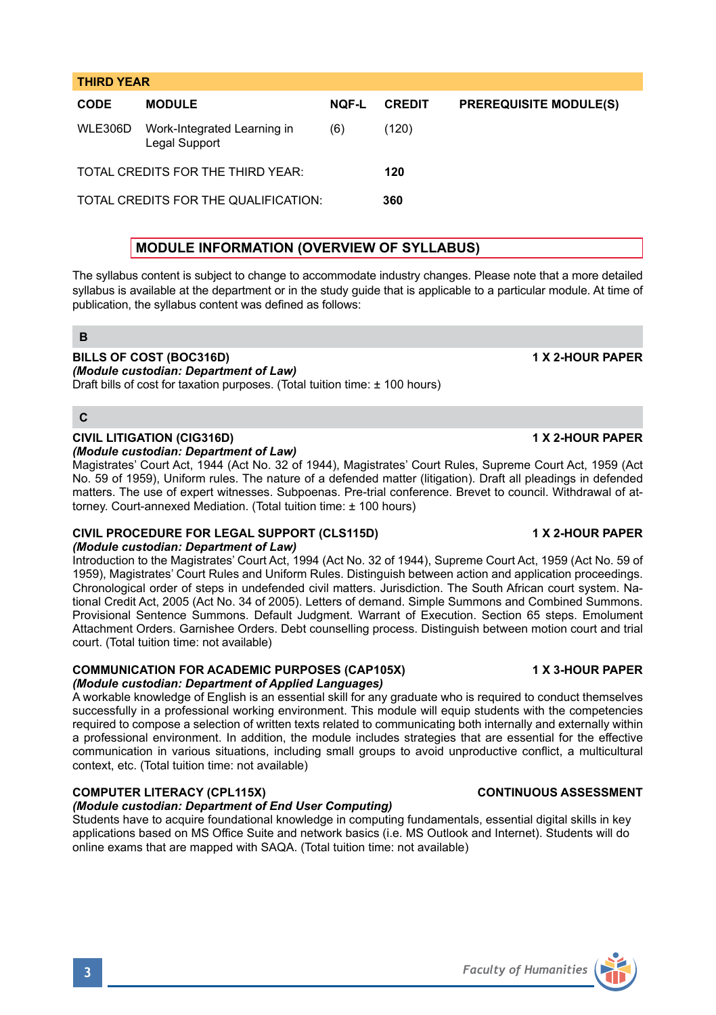# **THIRD YEAR CODE MODULE NQF-L CREDIT PREREQUISITE MODULE(S)** WLE306D Work-Integrated Learning in (6) (120) Legal Support TOTAL CREDITS FOR THE THIRD YEAR: **120** TOTAL CREDITS FOR THE QUALIFICATION: **360**

# **MODULE INFORMATION (OVERVIEW OF SYLLABUS)**

The syllabus content is subject to change to accommodate industry changes. Please note that a more detailed syllabus is available at the department or in the study guide that is applicable to a particular module. At time of publication, the syllabus content was defined as follows:

# **B**

#### **BILLS OF COST (BOC316D) 1 X 2-HOUR PAPER** *(Module custodian: Department of Law)*

Draft bills of cost for taxation purposes. (Total tuition time: ± 100 hours)

### **C**

#### **CIVIL LITIGATION (CIG316D) 1 X 2-HOUR PAPER** *(Module custodian: Department of Law)*

Magistrates' Court Act, 1944 (Act No. 32 of 1944), Magistrates' Court Rules, Supreme Court Act, 1959 (Act No. 59 of 1959), Uniform rules. The nature of a defended matter (litigation). Draft all pleadings in defended matters. The use of expert witnesses. Subpoenas. Pre-trial conference. Brevet to council. Withdrawal of attorney. Court-annexed Mediation. (Total tuition time: ± 100 hours)

#### **CIVIL PROCEDURE FOR LEGAL SUPPORT (CLS115D) 1 X 2-HOUR PAPER** *(Module custodian: Department of Law)*

Introduction to the Magistrates' Court Act, 1994 (Act No. 32 of 1944), Supreme Court Act, 1959 (Act No. 59 of 1959), Magistrates' Court Rules and Uniform Rules. Distinguish between action and application proceedings. Chronological order of steps in undefended civil matters. Jurisdiction. The South African court system. National Credit Act, 2005 (Act No. 34 of 2005). Letters of demand. Simple Summons and Combined Summons. Provisional Sentence Summons. Default Judgment. Warrant of Execution. Section 65 steps. Emolument Attachment Orders. Garnishee Orders. Debt counselling process. Distinguish between motion court and trial court. (Total tuition time: not available)

# **COMMUNICATION FOR ACADEMIC PURPOSES (CAP105X) 1 X 3-HOUR PAPER**

# *(Module custodian: Department of Applied Languages)*

A workable knowledge of English is an essential skill for any graduate who is required to conduct themselves successfully in a professional working environment. This module will equip students with the competencies required to compose a selection of written texts related to communicating both internally and externally within a professional environment. In addition, the module includes strategies that are essential for the effective communication in various situations, including small groups to avoid unproductive conflict, a multicultural context, etc. (Total tuition time: not available)

# **COMPUTER LITERACY (CPL115X) CONTINUOUS ASSESSMENT**

### *(Module custodian: Department of End User Computing)*

Students have to acquire foundational knowledge in computing fundamentals, essential digital skills in key applications based on MS Office Suite and network basics (i.e. MS Outlook and Internet). Students will do online exams that are mapped with SAQA. (Total tuition time: not available)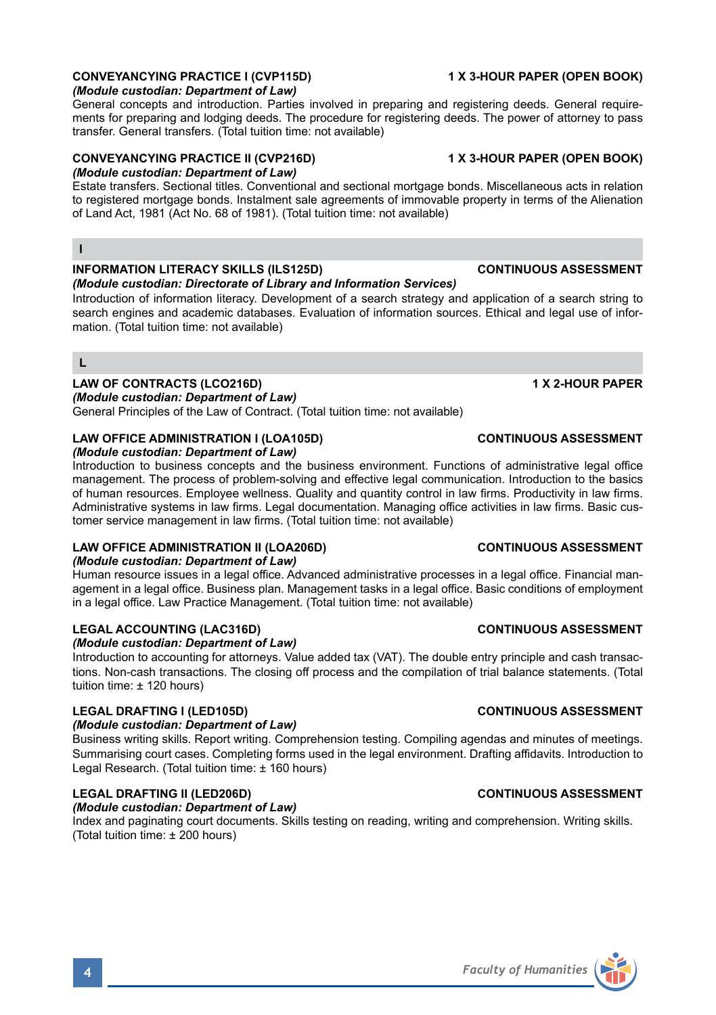# **CONVEYANCYING PRACTICE I (CVP115D) 1 X 3-HOUR PAPER (OPEN BOOK)**

# *(Module custodian: Department of Law)*

General concepts and introduction. Parties involved in preparing and registering deeds. General requirements for preparing and lodging deeds. The procedure for registering deeds. The power of attorney to pass transfer. General transfers. (Total tuition time: not available)

# **CONVEYANCYING PRACTICE II (CVP216D) 1 X 3-HOUR PAPER (OPEN BOOK)**

*(Module custodian: Department of Law)* 

Estate transfers. Sectional titles. Conventional and sectional mortgage bonds. Miscellaneous acts in relation to registered mortgage bonds. Instalment sale agreements of immovable property in terms of the Alienation of Land Act, 1981 (Act No. 68 of 1981). (Total tuition time: not available)

### **I**

# **INFORMATION LITERACY SKILLS (ILS125D) CONTINUOUS ASSESSMENT**

#### *(Module custodian: Directorate of Library and Information Services)*

Introduction of information literacy. Development of a search strategy and application of a search string to search engines and academic databases. Evaluation of information sources. Ethical and legal use of information. (Total tuition time: not available)

### **L**

# **LAW OF CONTRACTS (LCO216D) 1 X 2-HOUR PAPER**

*(Module custodian: Department of Law)* 

General Principles of the Law of Contract. (Total tuition time: not available)

# **LAW OFFICE ADMINISTRATION I (LOA105D) CONTINUOUS ASSESSMENT**

### *(Module custodian: Department of Law)*

Introduction to business concepts and the business environment. Functions of administrative legal office management. The process of problem-solving and effective legal communication. Introduction to the basics of human resources. Employee wellness. Quality and quantity control in law firms. Productivity in law firms. Administrative systems in law firms. Legal documentation. Managing office activities in law firms. Basic customer service management in law firms. (Total tuition time: not available)

# **LAW OFFICE ADMINISTRATION II (LOA206D) CONTINUOUS ASSESSMENT**

### *(Module custodian: Department of Law)*

Human resource issues in a legal office. Advanced administrative processes in a legal office. Financial management in a legal office. Business plan. Management tasks in a legal office. Basic conditions of employment in a legal office. Law Practice Management. (Total tuition time: not available)

# **LEGAL ACCOUNTING (LAC316D) CONTINUOUS ASSESSMENT**

### *(Module custodian: Department of Law)*

Introduction to accounting for attorneys. Value added tax (VAT). The double entry principle and cash transactions. Non-cash transactions. The closing off process and the compilation of trial balance statements. (Total tuition time: ± 120 hours)

# **LEGAL DRAFTING I (LED105D) CONTINUOUS ASSESSMENT**

### *(Module custodian: Department of Law)*

Business writing skills. Report writing. Comprehension testing. Compiling agendas and minutes of meetings. Summarising court cases. Completing forms used in the legal environment. Drafting affidavits. Introduction to Legal Research. (Total tuition time: ± 160 hours)

### **LEGAL DRAFTING II (LED206D) CONTINUOUS ASSESSMENT**

### *(Module custodian: Department of Law)*

Index and paginating court documents. Skills testing on reading, writing and comprehension. Writing skills. (Total tuition time: ± 200 hours)